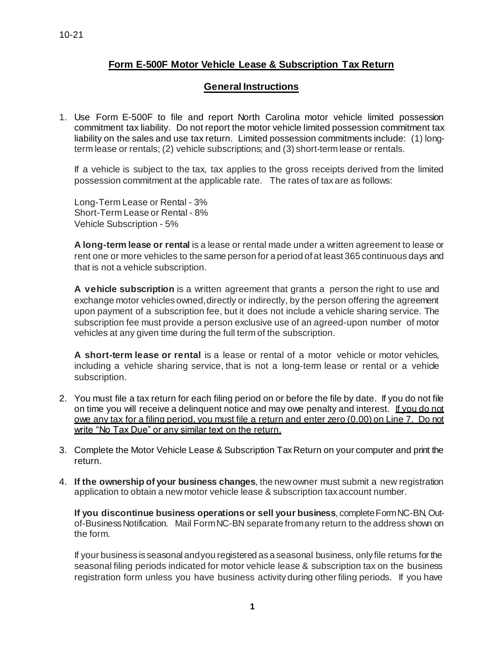## **Form E-500F Motor Vehicle Lease & Subscription Tax Return**

## **General Instructions**

1. Use Form E-500F to file and report North Carolina motor vehicle limited possession commitment tax liability. Do not report the motor vehicle limited possession commitment tax liability on the sales and use tax return. Limited possession commitments include: (1) longterm lease or rentals; (2) vehicle subscriptions; and (3) short-term lease or rentals.

If a vehicle is subject to the tax, tax applies to the gross receipts derived from the limited possession commitment at the applicable rate. The rates of tax are as follows:

Long-Term Lease or Rental - 3% Short-Term Lease or Rental - 8% Vehicle Subscription - 5%

**A long-term lease or rental** is a lease or rental made under a written agreement to lease or rent one or more vehicles to the same person for a period of at least 365 continuous days and that is not a vehicle subscription.

**A vehicle subscription** is a written agreement that grants a person the right to use and exchange motor vehicles owned, directly or indirectly, by the person offering the agreement upon payment of a subscription fee, but it does not include a vehicle sharing service. The subscription fee must provide a person exclusive use of an agreed-upon number of motor vehicles at any given time during the full term of the subscription.

**A short-term lease or rental** is a lease or rental of a motor vehicle or motor vehicles, including a vehicle sharing service, that is not a long-term lease or rental or a vehicle subscription.

- 2. You must file a tax return for each filing period on or before the file by date. If you do not file on time you will receive a delinguent notice and may owe penalty and interest. If you do not owe any tax for a filing period, you must file a return and enter zero (0.00) on Line 7. Do not write "No Tax Due" or any similar text on the return.
- 3. Complete the Motor Vehicle Lease & Subscription Tax Return on your computer and print the return.
- 4. **If the ownership of your business changes**, the newowner must submit a new registration application to obtain a new motor vehicle lease & subscription tax account number.

**If you discontinue business operations or sell your business**, completeFormNC-BN,Outof-Business Notification. Mail FormNC-BN separate fromany return to the address shown on the form.

If your business is seasonal andyou registered as a seasonal business, only file returns for the seasonal filing periods indicated for motor vehicle lease & subscription tax on the business registration form unless you have business activity during other filing periods. If you have